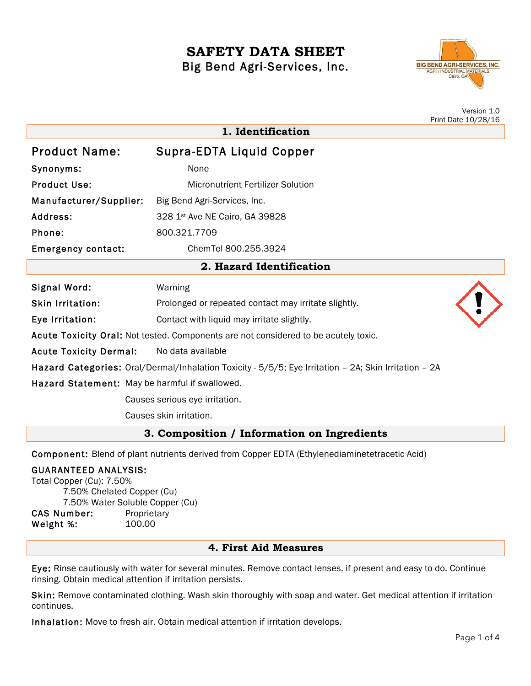# **SAFETY DATA SHEET** Big Bend Agri-Services, Inc.



|                                                                                                       |                                                      | Version 1.0<br>Print Date 10/28/16 |
|-------------------------------------------------------------------------------------------------------|------------------------------------------------------|------------------------------------|
| 1. Identification                                                                                     |                                                      |                                    |
| <b>Product Name:</b>                                                                                  | Supra-EDTA Liquid Copper                             |                                    |
| Synonyms:                                                                                             | None                                                 |                                    |
| <b>Product Use:</b>                                                                                   | <b>Micronutrient Fertilizer Solution</b>             |                                    |
| Manufacturer/Supplier:                                                                                | Big Bend Agri-Services, Inc.                         |                                    |
| Address:                                                                                              | 328 1st Ave NE Cairo, GA 39828                       |                                    |
| Phone:                                                                                                | 800.321.7709                                         |                                    |
| <b>Emergency contact:</b>                                                                             | ChemTel 800.255.3924                                 |                                    |
| 2. Hazard Identification                                                                              |                                                      |                                    |
| Signal Word:                                                                                          | Warning                                              |                                    |
| <b>Skin Irritation:</b>                                                                               | Prolonged or repeated contact may irritate slightly. |                                    |
| Eye Irritation:                                                                                       | Contact with liquid may irritate slightly.           |                                    |
| Acute Toxicity Oral: Not tested. Components are not considered to be acutely toxic.                   |                                                      |                                    |
| <b>Acute Toxicity Dermal:</b>                                                                         | No data available                                    |                                    |
| Hazard Categories: Oral/Dermal/Inhalation Toxicity - 5/5/5; Eye Irritation - 2A; Skin Irritation - 2A |                                                      |                                    |
| Hazard Statement: May be harmful if swallowed.                                                        |                                                      |                                    |
| Causes serious eye irritation.                                                                        |                                                      |                                    |
| Causes skin irritation.                                                                               |                                                      |                                    |
| 3. Composition / Information on Ingredients                                                           |                                                      |                                    |

Component: Blend of plant nutrients derived from Copper EDTA (Ethylenediaminetetracetic Acid)

# GUARANTEED ANALYSIS:

Total Copper (Cu): 7.50% 7.50% Chelated Copper (Cu) 7.50% Water Soluble Copper (Cu)

CAS Number: Proprietary Weight %: 100.00

### **4. First Aid Measures**

Eye: Rinse cautiously with water for several minutes. Remove contact lenses, if present and easy to do. Continue rinsing. Obtain medical attention if irritation persists.

Skin: Remove contaminated clothing. Wash skin thoroughly with soap and water. Get medical attention if irritation continues.

Inhalation: Move to fresh air. Obtain medical attention if irritation develops.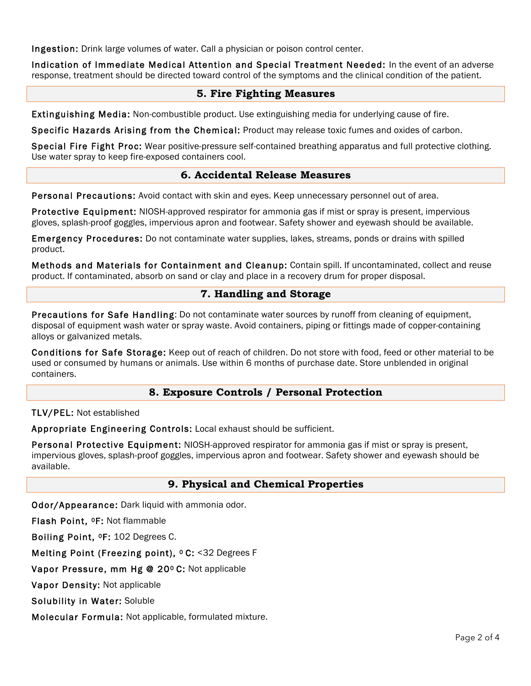Ingestion: Drink large volumes of water. Call a physician or poison control center.

Indication of Immediate Medical Attention and Special Treatment Needed: In the event of an adverse response, treatment should be directed toward control of the symptoms and the clinical condition of the patient.

# **5. Fire Fighting Measures**

Extinguishing Media: Non-combustible product. Use extinguishing media for underlying cause of fire.

Specific Hazards Arising from the Chemical: Product may release toxic fumes and oxides of carbon.

Special Fire Fight Proc: Wear positive-pressure self-contained breathing apparatus and full protective clothing. Use water spray to keep fire-exposed containers cool.

### **6. Accidental Release Measures**

Personal Precautions: Avoid contact with skin and eyes. Keep unnecessary personnel out of area.

Protective Equipment: NIOSH-approved respirator for ammonia gas if mist or spray is present, impervious gloves, splash-proof goggles, impervious apron and footwear. Safety shower and eyewash should be available.

Emergency Procedures: Do not contaminate water supplies, lakes, streams, ponds or drains with spilled product.

Methods and Materials for Containment and Cleanup: Contain spill. If uncontaminated, collect and reuse product. If contaminated, absorb on sand or clay and place in a recovery drum for proper disposal.

#### **7. Handling and Storage**

Precautions for Safe Handling: Do not contaminate water sources by runoff from cleaning of equipment, disposal of equipment wash water or spray waste. Avoid containers, piping or fittings made of copper-containing alloys or galvanized metals.

Conditions for Safe Storage: Keep out of reach of children. Do not store with food, feed or other material to be used or consumed by humans or animals. Use within 6 months of purchase date. Store unblended in original containers.

### **8. Exposure Controls / Personal Protection**

#### TLV/PEL: Not established

Appropriate Engineering Controls: Local exhaust should be sufficient.

Personal Protective Equipment: NIOSH-approved respirator for ammonia gas if mist or spray is present, impervious gloves, splash-proof goggles, impervious apron and footwear. Safety shower and eyewash should be available.

#### **9. Physical and Chemical Properties**

Odor/Appearance: Dark liquid with ammonia odor.

Flash Point, 0F: Not flammable

Boiling Point, 0F: 102 Degrees C.

Melting Point (Freezing point), <sup>o</sup> C: <32 Degrees F

Vapor Pressure, mm Hg @ 20º C: Not applicable

Vapor Density: Not applicable

Solubility in Water: Soluble

Molecular Formula: Not applicable, formulated mixture.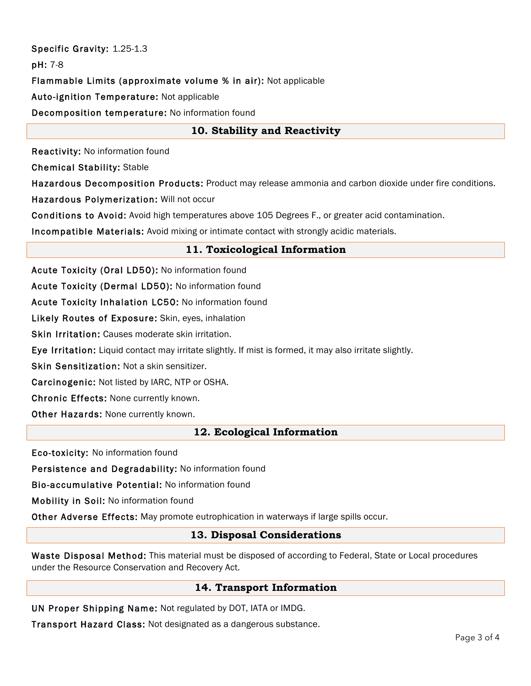# Specific Gravity: 1.25-1.3 pH: 7-8 Flammable Limits (approximate volume % in air): Not applicable Auto-ignition Temperature: Not applicable Decomposition temperature: No information found

# **10. Stability and Reactivity**

Reactivity: No information found

Chemical Stability: Stable

Hazardous Decomposition Products: Product may release ammonia and carbon dioxide under fire conditions.

Hazardous Polymerization: Will not occur

Conditions to Avoid: Avoid high temperatures above 105 Degrees F., or greater acid contamination.

Incompatible Materials: Avoid mixing or intimate contact with strongly acidic materials.

## **11. Toxicological Information**

Acute Toxicity (Oral LD50): No information found

Acute Toxicity (Dermal LD50): No information found

Acute Toxicity Inhalation LC50: No information found

Likely Routes of Exposure: Skin, eyes, inhalation

Skin Irritation: Causes moderate skin irritation.

Eye Irritation: Liquid contact may irritate slightly. If mist is formed, it may also irritate slightly.

Skin Sensitization: Not a skin sensitizer.

Carcinogenic: Not listed by IARC, NTP or OSHA.

Chronic Effects: None currently known.

Other Hazards: None currently known.

### **12. Ecological Information**

Eco-toxicity: No information found

Persistence and Degradability: No information found

Bio-accumulative Potential: No information found

Mobility in Soil: No information found

Other Adverse Effects: May promote eutrophication in waterways if large spills occur.

### **13. Disposal Considerations**

Waste Disposal Method: This material must be disposed of according to Federal, State or Local procedures under the Resource Conservation and Recovery Act.

# **14. Transport Information**

UN Proper Shipping Name: Not regulated by DOT, IATA or IMDG.

Transport Hazard Class: Not designated as a dangerous substance.